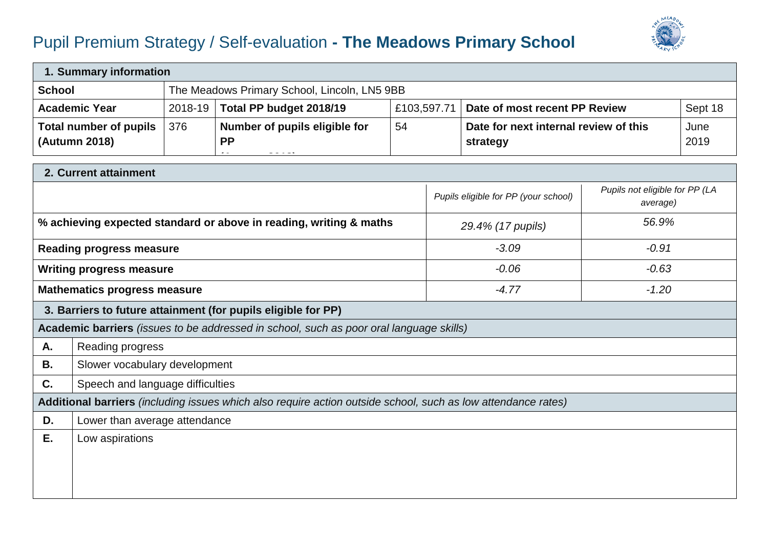## Pupil Premium Strategy / Self-evaluation **- The Meadows Primary School**



| 1. Summary information                                                                                        |                                                |         |                                                                                                             |    |                                                   |                                      |                                            |              |  |
|---------------------------------------------------------------------------------------------------------------|------------------------------------------------|---------|-------------------------------------------------------------------------------------------------------------|----|---------------------------------------------------|--------------------------------------|--------------------------------------------|--------------|--|
| The Meadows Primary School, Lincoln, LN5 9BB<br><b>School</b>                                                 |                                                |         |                                                                                                             |    |                                                   |                                      |                                            |              |  |
|                                                                                                               | <b>Academic Year</b>                           | 2018-19 | Total PP budget 2018/19                                                                                     |    | £103,597.71                                       | Date of most recent PP Review        | Sept 18                                    |              |  |
|                                                                                                               | <b>Total number of pupils</b><br>(Autumn 2018) | 376     | Number of pupils eligible for<br><b>PP</b><br>$\omega_{\rm{c}}$ and $\omega_{\rm{c}}$ and $\omega_{\rm{c}}$ | 54 | Date for next internal review of this<br>strategy |                                      |                                            | June<br>2019 |  |
|                                                                                                               | 2. Current attainment                          |         |                                                                                                             |    |                                                   |                                      |                                            |              |  |
|                                                                                                               |                                                |         |                                                                                                             |    |                                                   | Pupils eligible for PP (your school) | Pupils not eligible for PP (LA<br>average) |              |  |
|                                                                                                               |                                                |         | % achieving expected standard or above in reading, writing & maths                                          |    |                                                   | 29.4% (17 pupils)                    | 56.9%                                      |              |  |
|                                                                                                               | <b>Reading progress measure</b>                |         |                                                                                                             |    |                                                   | $-3.09$                              | $-0.91$                                    |              |  |
|                                                                                                               | <b>Writing progress measure</b>                |         |                                                                                                             |    | $-0.06$                                           |                                      | $-0.63$                                    |              |  |
| <b>Mathematics progress measure</b>                                                                           |                                                |         |                                                                                                             |    | $-4.77$                                           |                                      | $-1.20$                                    |              |  |
| 3. Barriers to future attainment (for pupils eligible for PP)                                                 |                                                |         |                                                                                                             |    |                                                   |                                      |                                            |              |  |
| Academic barriers (issues to be addressed in school, such as poor oral language skills)                       |                                                |         |                                                                                                             |    |                                                   |                                      |                                            |              |  |
| А.                                                                                                            | Reading progress                               |         |                                                                                                             |    |                                                   |                                      |                                            |              |  |
| <b>B.</b>                                                                                                     | Slower vocabulary development                  |         |                                                                                                             |    |                                                   |                                      |                                            |              |  |
| C.                                                                                                            | Speech and language difficulties               |         |                                                                                                             |    |                                                   |                                      |                                            |              |  |
| Additional barriers (including issues which also require action outside school, such as low attendance rates) |                                                |         |                                                                                                             |    |                                                   |                                      |                                            |              |  |
| D.                                                                                                            | Lower than average attendance                  |         |                                                                                                             |    |                                                   |                                      |                                            |              |  |
| Ε.                                                                                                            | Low aspirations                                |         |                                                                                                             |    |                                                   |                                      |                                            |              |  |
|                                                                                                               |                                                |         |                                                                                                             |    |                                                   |                                      |                                            |              |  |
|                                                                                                               |                                                |         |                                                                                                             |    |                                                   |                                      |                                            |              |  |
|                                                                                                               |                                                |         |                                                                                                             |    |                                                   |                                      |                                            |              |  |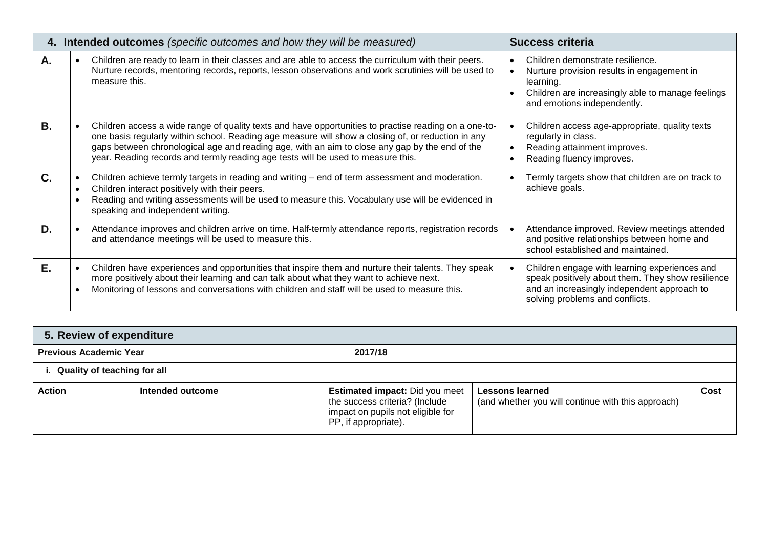|    | 4. Intended outcomes (specific outcomes and how they will be measured)                                                                                                                                                                                                                                                                                                                            | <b>Success criteria</b>                                                                                                                                                              |  |  |
|----|---------------------------------------------------------------------------------------------------------------------------------------------------------------------------------------------------------------------------------------------------------------------------------------------------------------------------------------------------------------------------------------------------|--------------------------------------------------------------------------------------------------------------------------------------------------------------------------------------|--|--|
| Α. | Children are ready to learn in their classes and are able to access the curriculum with their peers.<br>Nurture records, mentoring records, reports, lesson observations and work scrutinies will be used to<br>measure this.                                                                                                                                                                     | Children demonstrate resilience.<br>Nurture provision results in engagement in<br>learning.<br>Children are increasingly able to manage feelings<br>and emotions independently.      |  |  |
| В. | Children access a wide range of quality texts and have opportunities to practise reading on a one-to-<br>one basis regularly within school. Reading age measure will show a closing of, or reduction in any<br>gaps between chronological age and reading age, with an aim to close any gap by the end of the<br>year. Reading records and termly reading age tests will be used to measure this. | Children access age-appropriate, quality texts<br>regularly in class.<br>Reading attainment improves.<br>Reading fluency improves.                                                   |  |  |
| C. | Children achieve termly targets in reading and writing – end of term assessment and moderation.<br>Children interact positively with their peers.<br>$\bullet$<br>Reading and writing assessments will be used to measure this. Vocabulary use will be evidenced in<br>speaking and independent writing.                                                                                          | Termly targets show that children are on track to<br>achieve goals.                                                                                                                  |  |  |
| D. | Attendance improves and children arrive on time. Half-termly attendance reports, registration records<br>and attendance meetings will be used to measure this.                                                                                                                                                                                                                                    | Attendance improved. Review meetings attended<br>and positive relationships between home and<br>school established and maintained.                                                   |  |  |
| Е. | Children have experiences and opportunities that inspire them and nurture their talents. They speak<br>more positively about their learning and can talk about what they want to achieve next.<br>Monitoring of lessons and conversations with children and staff will be used to measure this.                                                                                                   | Children engage with learning experiences and<br>speak positively about them. They show resilience<br>and an increasingly independent approach to<br>solving problems and conflicts. |  |  |

| 5. Review of expenditure       |                  |                                                                                                                                      |                                                                              |      |  |  |  |
|--------------------------------|------------------|--------------------------------------------------------------------------------------------------------------------------------------|------------------------------------------------------------------------------|------|--|--|--|
| <b>Previous Academic Year</b>  |                  | 2017/18                                                                                                                              |                                                                              |      |  |  |  |
| i. Quality of teaching for all |                  |                                                                                                                                      |                                                                              |      |  |  |  |
| <b>Action</b>                  | Intended outcome | <b>Estimated impact: Did you meet</b><br>the success criteria? (Include<br>impact on pupils not eligible for<br>PP, if appropriate). | <b>Lessons learned</b><br>(and whether you will continue with this approach) | Cost |  |  |  |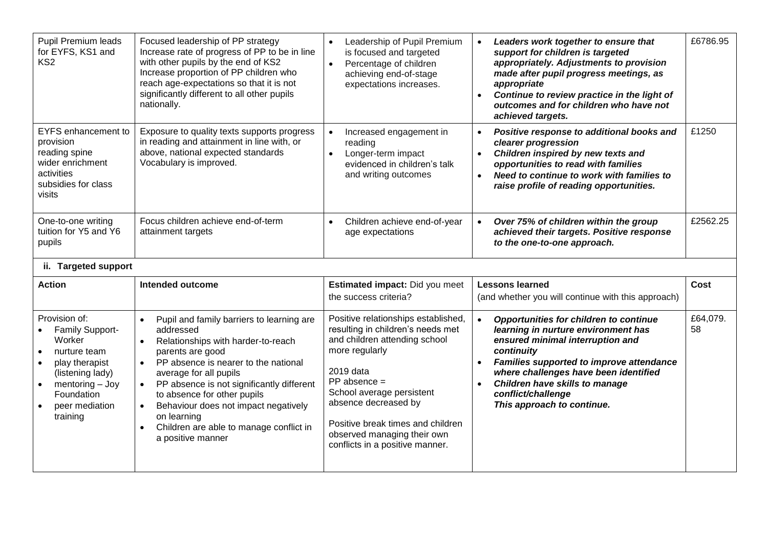| Pupil Premium leads<br>for EYFS, KS1 and<br>KS <sub>2</sub>                                                                                                                                                                                                                               | Focused leadership of PP strategy<br>Increase rate of progress of PP to be in line<br>with other pupils by the end of KS2<br>Increase proportion of PP children who<br>reach age-expectations so that it is not<br>significantly different to all other pupils<br>nationally. | Leadership of Pupil Premium<br>is focused and targeted<br>Percentage of children<br>$\bullet$<br>achieving end-of-stage<br>expectations increases. | Leaders work together to ensure that<br>support for children is targeted<br>appropriately. Adjustments to provision<br>made after pupil progress meetings, as<br>appropriate<br>Continue to review practice in the light of<br>$\bullet$<br>outcomes and for children who have not<br>achieved targets. | £6786.95    |
|-------------------------------------------------------------------------------------------------------------------------------------------------------------------------------------------------------------------------------------------------------------------------------------------|-------------------------------------------------------------------------------------------------------------------------------------------------------------------------------------------------------------------------------------------------------------------------------|----------------------------------------------------------------------------------------------------------------------------------------------------|---------------------------------------------------------------------------------------------------------------------------------------------------------------------------------------------------------------------------------------------------------------------------------------------------------|-------------|
| <b>EYFS</b> enhancement to<br>Exposure to quality texts supports progress<br>in reading and attainment in line with, or<br>provision<br>above, national expected standards<br>reading spine<br>Vocabulary is improved.<br>wider enrichment<br>activities<br>subsidies for class<br>visits |                                                                                                                                                                                                                                                                               | Increased engagement in<br>reading<br>Longer-term impact<br>$\bullet$<br>evidenced in children's talk<br>and writing outcomes                      | Positive response to additional books and<br>$\bullet$<br>clearer progression<br>Children inspired by new texts and<br>$\bullet$<br>opportunities to read with families<br>Need to continue to work with families to<br>$\bullet$<br>raise profile of reading opportunities.                            | £1250       |
| One-to-one writing<br>tuition for Y5 and Y6<br>pupils                                                                                                                                                                                                                                     | Focus children achieve end-of-term<br>attainment targets                                                                                                                                                                                                                      | Children achieve end-of-year<br>$\bullet$<br>age expectations                                                                                      | Over 75% of children within the group<br>$\bullet$<br>achieved their targets. Positive response<br>to the one-to-one approach.                                                                                                                                                                          | £2562.25    |
| ii. Targeted support                                                                                                                                                                                                                                                                      |                                                                                                                                                                                                                                                                               |                                                                                                                                                    |                                                                                                                                                                                                                                                                                                         |             |
|                                                                                                                                                                                                                                                                                           |                                                                                                                                                                                                                                                                               |                                                                                                                                                    |                                                                                                                                                                                                                                                                                                         |             |
| <b>Action</b>                                                                                                                                                                                                                                                                             | <b>Intended outcome</b>                                                                                                                                                                                                                                                       | Estimated impact: Did you meet<br>the success criteria?                                                                                            | <b>Lessons learned</b><br>(and whether you will continue with this approach)                                                                                                                                                                                                                            | <b>Cost</b> |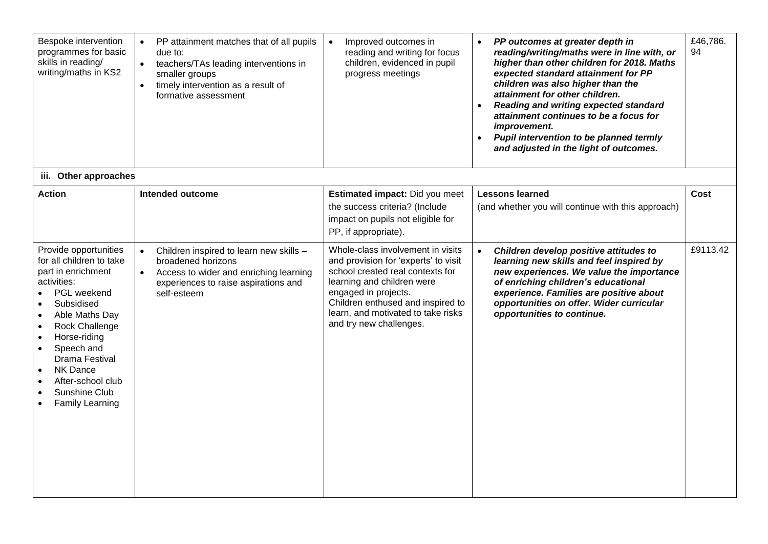| Bespoke intervention<br>programmes for basic<br>skills in reading/<br>writing/maths in KS2                                                                                                                                                                                                                                                                                      | PP attainment matches that of all pupils<br>due to:<br>teachers/TAs leading interventions in<br>$\bullet$<br>smaller groups<br>timely intervention as a result of<br>$\bullet$<br>formative assessment | Improved outcomes in<br>$\bullet$<br>reading and writing for focus<br>children, evidenced in pupil<br>progress meetings                                                                                                                                                   | PP outcomes at greater depth in<br>$\bullet$<br>reading/writing/maths were in line with, or<br>higher than other children for 2018. Maths<br>expected standard attainment for PP<br>children was also higher than the<br>attainment for other children.<br>Reading and writing expected standard<br>attainment continues to be a focus for<br>improvement.<br>Pupil intervention to be planned termly<br>and adjusted in the light of outcomes. | £46,786.<br>94 |
|---------------------------------------------------------------------------------------------------------------------------------------------------------------------------------------------------------------------------------------------------------------------------------------------------------------------------------------------------------------------------------|--------------------------------------------------------------------------------------------------------------------------------------------------------------------------------------------------------|---------------------------------------------------------------------------------------------------------------------------------------------------------------------------------------------------------------------------------------------------------------------------|-------------------------------------------------------------------------------------------------------------------------------------------------------------------------------------------------------------------------------------------------------------------------------------------------------------------------------------------------------------------------------------------------------------------------------------------------|----------------|
| iii. Other approaches                                                                                                                                                                                                                                                                                                                                                           |                                                                                                                                                                                                        |                                                                                                                                                                                                                                                                           |                                                                                                                                                                                                                                                                                                                                                                                                                                                 |                |
| <b>Action</b>                                                                                                                                                                                                                                                                                                                                                                   | <b>Intended outcome</b>                                                                                                                                                                                | Estimated impact: Did you meet<br>the success criteria? (Include<br>impact on pupils not eligible for<br>PP, if appropriate).                                                                                                                                             | <b>Lessons learned</b><br>(and whether you will continue with this approach)                                                                                                                                                                                                                                                                                                                                                                    | Cost           |
| Provide opportunities<br>for all children to take<br>part in enrichment<br>activities:<br>PGL weekend<br>Subsidised<br>$\bullet$<br>Able Maths Day<br>$\bullet$<br><b>Rock Challenge</b><br>$\bullet$<br>Horse-riding<br>$\bullet$<br>Speech and<br>$\bullet$<br>Drama Festival<br><b>NK Dance</b><br>After-school club<br>Sunshine Club<br>$\bullet$<br><b>Family Learning</b> | Children inspired to learn new skills -<br>broadened horizons<br>Access to wider and enriching learning<br>experiences to raise aspirations and<br>self-esteem                                         | Whole-class involvement in visits<br>and provision for 'experts' to visit<br>school created real contexts for<br>learning and children were<br>engaged in projects.<br>Children enthused and inspired to<br>learn, and motivated to take risks<br>and try new challenges. | Children develop positive attitudes to<br>learning new skills and feel inspired by<br>new experiences. We value the importance<br>of enriching children's educational<br>experience. Families are positive about<br>opportunities on offer. Wider curricular<br>opportunities to continue.                                                                                                                                                      | £9113.42       |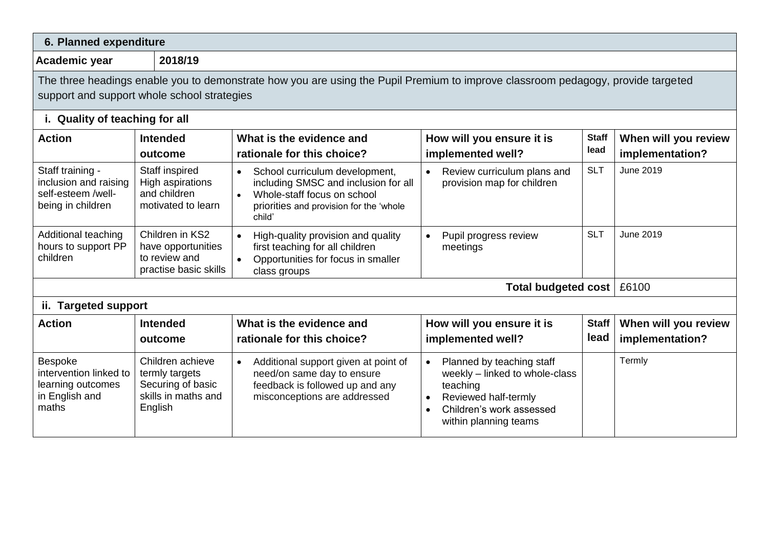| 6. Planned expenditure                                                                   |                                                                                           |                                                                                                                                                                                      |                                                                                                                                                                                             |                      |                                         |  |  |
|------------------------------------------------------------------------------------------|-------------------------------------------------------------------------------------------|--------------------------------------------------------------------------------------------------------------------------------------------------------------------------------------|---------------------------------------------------------------------------------------------------------------------------------------------------------------------------------------------|----------------------|-----------------------------------------|--|--|
| 2018/19<br>Academic year                                                                 |                                                                                           |                                                                                                                                                                                      |                                                                                                                                                                                             |                      |                                         |  |  |
| support and support whole school strategies<br>i. Quality of teaching for all            |                                                                                           | The three headings enable you to demonstrate how you are using the Pupil Premium to improve classroom pedagogy, provide targeted                                                     |                                                                                                                                                                                             |                      |                                         |  |  |
| <b>Action</b>                                                                            | <b>Intended</b><br>outcome                                                                | What is the evidence and<br>rationale for this choice?                                                                                                                               | How will you ensure it is<br>implemented well?                                                                                                                                              | <b>Staff</b><br>lead | When will you review<br>implementation? |  |  |
| Staff training -<br>inclusion and raising<br>self-esteem /well-<br>being in children     | Staff inspired<br>High aspirations<br>and children<br>motivated to learn                  | School curriculum development,<br>$\bullet$<br>including SMSC and inclusion for all<br>Whole-staff focus on school<br>$\bullet$<br>priorities and provision for the 'whole<br>child' | Review curriculum plans and<br>$\bullet$<br>provision map for children                                                                                                                      | <b>SLT</b>           | June 2019                               |  |  |
| Additional teaching<br>hours to support PP<br>children                                   | Children in KS2<br>have opportunities<br>to review and<br>practise basic skills           | High-quality provision and quality<br>first teaching for all children<br>Opportunities for focus in smaller<br>$\bullet$<br>class groups                                             | Pupil progress review<br>$\bullet$<br>meetings                                                                                                                                              | <b>SLT</b>           | June 2019                               |  |  |
| Total budgeted cost   £6100                                                              |                                                                                           |                                                                                                                                                                                      |                                                                                                                                                                                             |                      |                                         |  |  |
| ii. Targeted support                                                                     |                                                                                           |                                                                                                                                                                                      |                                                                                                                                                                                             |                      |                                         |  |  |
| <b>Action</b>                                                                            | <b>Intended</b><br>outcome                                                                | What is the evidence and<br>rationale for this choice?                                                                                                                               | How will you ensure it is<br>implemented well?                                                                                                                                              | <b>Staff</b><br>lead | When will you review<br>implementation? |  |  |
| <b>Bespoke</b><br>intervention linked to<br>learning outcomes<br>in English and<br>maths | Children achieve<br>termly targets<br>Securing of basic<br>skills in maths and<br>English | Additional support given at point of<br>$\bullet$<br>need/on same day to ensure<br>feedback is followed up and any<br>misconceptions are addressed                                   | Planned by teaching staff<br>$\bullet$<br>weekly - linked to whole-class<br>teaching<br>Reviewed half-termly<br>$\bullet$<br>Children's work assessed<br>$\bullet$<br>within planning teams |                      | Termly                                  |  |  |